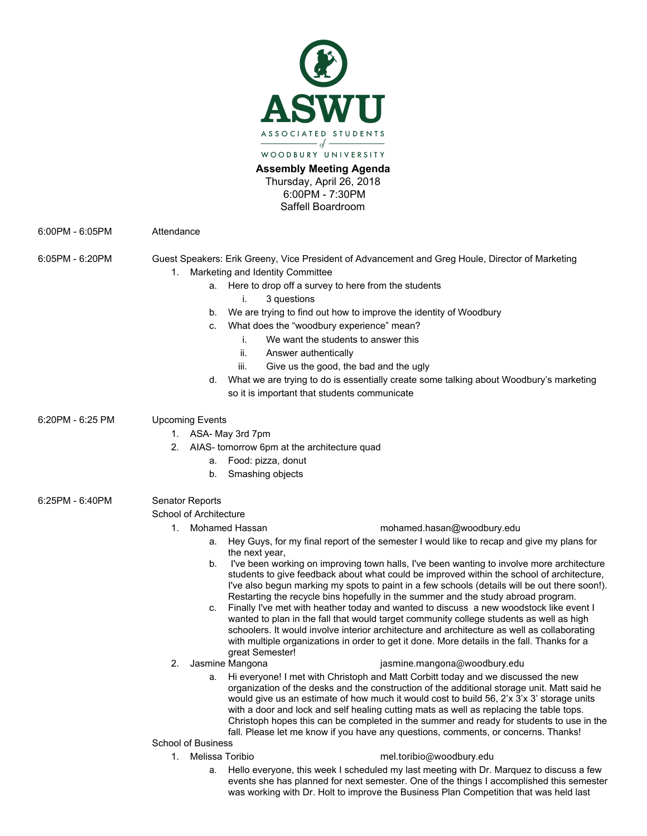

**Assembly Meeting Agenda** Thursday, April 26, 2018

6:00PM - 7:30PM

Saffell Boardroom

6:00PM - 6:05PM Attendance

6:05PM - 6:20PM Guest Speakers: Erik Greeny, Vice President of Advancement and Greg Houle, Director of Marketing 1. Marketing and Identity Committee

- a. Here to drop off a survey to here from the students
	- i. 3 questions
- b. We are trying to find out how to improve the identity of Woodbury
- c. What does the "woodbury experience" mean?
	- i. We want the students to answer this
	- ii. Answer authentically
	- iii. Give us the good, the bad and the ugly
- d. What we are trying to do is essentially create some talking about Woodbury's marketing so it is important that students communicate

6:20PM - 6:25 PM Upcoming Events

1. ASA- May 3rd 7pm

- 2. AIAS- tomorrow 6pm at the architecture quad
	- a. Food: pizza, donut
	- b. Smashing objects
- 6:25PM 6:40PM Senator Reports

School of Architecture

## 1. Mohamed Hassan [mohamed.hasan@woodbury.edu](mailto:mohamed.hasan@woodbury.edu)

- a. Hey Guys, for my final report of the semester I would like to recap and give my plans for the next year,
- b. I've been working on improving town halls, I've been wanting to involve more architecture students to give feedback about what could be improved within the school of architecture, I've also begun marking my spots to paint in a few schools (details will be out there soon!). Restarting the recycle bins hopefully in the summer and the study abroad program.
- c. Finally I've met with heather today and wanted to discuss a new woodstock like event I wanted to plan in the fall that would target community college students as well as high schoolers. It would involve interior architecture and architecture as well as collaborating with multiple organizations in order to get it done. More details in the fall. Thanks for a great Semester!
- 

## 2. Jasmine Mangona isang isang panahanganang panahanggang panahanggang panahanggang panganggang pang

a. Hi everyone! I met with Christoph and Matt Corbitt today and we discussed the new organization of the desks and the construction of the additional storage unit. Matt said he would give us an estimate of how much it would cost to build 56, 2'x 3'x 3' storage units with a door and lock and self healing cutting mats as well as replacing the table tops. Christoph hopes this can be completed in the summer and ready for students to use in the fall. Please let me know if you have any questions, comments, or concerns. Thanks!

School of Business

- 
- 1. Melissa Toribio mel.toribio@woodbury.edu
	- a. Hello everyone, this week I scheduled my last meeting with Dr. Marquez to discuss a few events she has planned for next semester. One of the things I accomplished this semester was working with Dr. Holt to improve the Business Plan Competition that was held last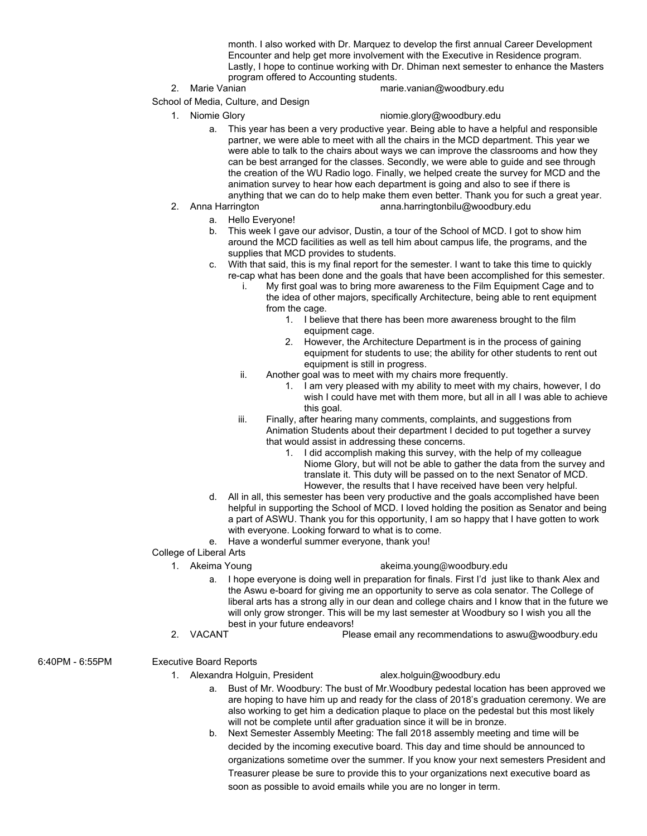month. I also worked with Dr. Marquez to develop the first annual Career Development Encounter and help get more involvement with the Executive in Residence program. Lastly, I hope to continue working with Dr. Dhiman next semester to enhance the Masters program offered to Accounting students.

- 
- 2. Marie Vanian marie.vanian@woodbury.edu
- School of Media, Culture, and Design
	- 1. Niomie Glory [niomie.glory@woodbury.edu](mailto:niomie.glory@woodbury.edu)
		- a. This year has been a very productive year. Being able to have a helpful and responsible partner, we were able to meet with all the chairs in the MCD department. This year we were able to talk to the chairs about ways we can improve the classrooms and how they can be best arranged for the classes. Secondly, we were able to guide and see through the creation of the WU Radio logo. Finally, we helped create the survey for MCD and the animation survey to hear how each department is going and also to see if there is anything that we can do to help make them even better. Thank you for such a great year.
	- 2. Anna Harrington [anna.harringtonbilu@woodbury.edu](mailto:anna.harringtonbilu@woodbury.edu)
		- a. Hello Everyone!
		- b. This week I gave our advisor, Dustin, a tour of the School of MCD. I got to show him around the MCD facilities as well as tell him about campus life, the programs, and the supplies that MCD provides to students.
		- c. With that said, this is my final report for the semester. I want to take this time to quickly re-cap what has been done and the goals that have been accomplished for this semester.
			- i. My first goal was to bring more awareness to the Film Equipment Cage and to the idea of other majors, specifically Architecture, being able to rent equipment from the cage.
				- 1. I believe that there has been more awareness brought to the film equipment cage.
				- 2. However, the Architecture Department is in the process of gaining equipment for students to use; the ability for other students to rent out equipment is still in progress.
			- ii. Another goal was to meet with my chairs more frequently.
				- 1. I am very pleased with my ability to meet with my chairs, however, I do wish I could have met with them more, but all in all I was able to achieve this goal.
			- iii. Finally, after hearing many comments, complaints, and suggestions from Animation Students about their department I decided to put together a survey that would assist in addressing these concerns.
				- 1. I did accomplish making this survey, with the help of my colleague Niome Glory, but will not be able to gather the data from the survey and translate it. This duty will be passed on to the next Senator of MCD. However, the results that I have received have been very helpful.
		- d. All in all, this semester has been very productive and the goals accomplished have been helpful in supporting the School of MCD. I loved holding the position as Senator and being a part of ASWU. Thank you for this opportunity, I am so happy that I have gotten to work with everyone. Looking forward to what is to come.
		- e. Have a wonderful summer everyone, thank you!
- College of Liberal Arts
	-
	- 1. Akeima Young [akeima.young@woodbury.edu](mailto:akeima.young@woodbury.edu)
		- a. I hope everyone is doing well in preparation for finals. First I'd just like to thank Alex and the Aswu e-board for giving me an opportunity to serve as cola senator. The College of liberal arts has a strong ally in our dean and college chairs and I know that in the future we will only grow stronger. This will be my last semester at Woodbury so I wish you all the best in your future endeavors!
	- 2. VACANT Please email any recommendations to aswu@woodbury.edu
- 6:40PM 6:55PM Executive Board Reports

1. Alexandra Holguin, President [alex.holguin@woodbury.edu](mailto:alex.holguin@woodbury.edu)

- a. Bust of Mr. Woodbury: The bust of Mr.Woodbury pedestal location has been approved we are hoping to have him up and ready for the class of 2018's graduation ceremony. We are also working to get him a dedication plaque to place on the pedestal but this most likely will not be complete until after graduation since it will be in bronze.
- b. Next Semester Assembly Meeting: The fall 2018 assembly meeting and time will be decided by the incoming executive board. This day and time should be announced to organizations sometime over the summer. If you know your next semesters President and Treasurer please be sure to provide this to your organizations next executive board as soon as possible to avoid emails while you are no longer in term.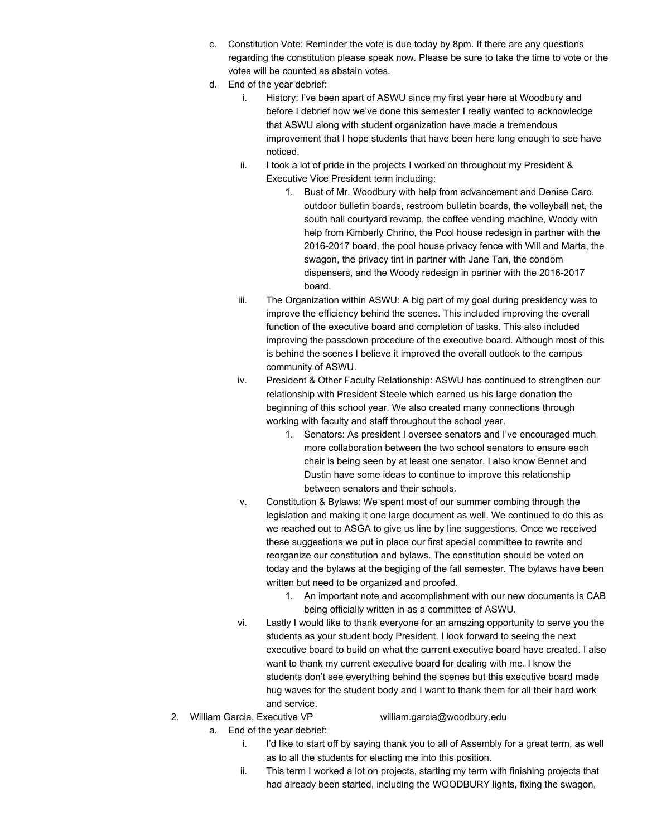- c. Constitution Vote: Reminder the vote is due today by 8pm. If there are any questions regarding the constitution please speak now. Please be sure to take the time to vote or the votes will be counted as abstain votes.
- d. End of the year debrief:
	- i. History: I've been apart of ASWU since my first year here at Woodbury and before I debrief how we've done this semester I really wanted to acknowledge that ASWU along with student organization have made a tremendous improvement that I hope students that have been here long enough to see have noticed.
	- ii. I took a lot of pride in the projects I worked on throughout my President  $\&$ Executive Vice President term including:
		- 1. Bust of Mr. Woodbury with help from advancement and Denise Caro, outdoor bulletin boards, restroom bulletin boards, the volleyball net, the south hall courtyard revamp, the coffee vending machine, Woody with help from Kimberly Chrino, the Pool house redesign in partner with the 2016-2017 board, the pool house privacy fence with Will and Marta, the swagon, the privacy tint in partner with Jane Tan, the condom dispensers, and the Woody redesign in partner with the 2016-2017 board.
	- iii. The Organization within ASWU: A big part of my goal during presidency was to improve the efficiency behind the scenes. This included improving the overall function of the executive board and completion of tasks. This also included improving the passdown procedure of the executive board. Although most of this is behind the scenes I believe it improved the overall outlook to the campus community of ASWU.
	- iv. President & Other Faculty Relationship: ASWU has continued to strengthen our relationship with President Steele which earned us his large donation the beginning of this school year. We also created many connections through working with faculty and staff throughout the school year.
		- 1. Senators: As president I oversee senators and I've encouraged much more collaboration between the two school senators to ensure each chair is being seen by at least one senator. I also know Bennet and Dustin have some ideas to continue to improve this relationship between senators and their schools.
	- v. Constitution & Bylaws: We spent most of our summer combing through the legislation and making it one large document as well. We continued to do this as we reached out to ASGA to give us line by line suggestions. Once we received these suggestions we put in place our first special committee to rewrite and reorganize our constitution and bylaws. The constitution should be voted on today and the bylaws at the begiging of the fall semester. The bylaws have been written but need to be organized and proofed.
		- 1. An important note and accomplishment with our new documents is CAB being officially written in as a committee of ASWU.
	- vi. Lastly I would like to thank everyone for an amazing opportunity to serve you the students as your student body President. I look forward to seeing the next executive board to build on what the current executive board have created. I also want to thank my current executive board for dealing with me. I know the students don't see everything behind the scenes but this executive board made hug waves for the student body and I want to thank them for all their hard work and service.
- 2. William Garcia, Executive VP [william.garcia@woodbury.edu](mailto:william.garcia@woodbury.edu)

- a. End of the year debrief:
	- i. I'd like to start off by saying thank you to all of Assembly for a great term, as well as to all the students for electing me into this position.
	- ii. This term I worked a lot on projects, starting my term with finishing projects that had already been started, including the WOODBURY lights, fixing the swagon,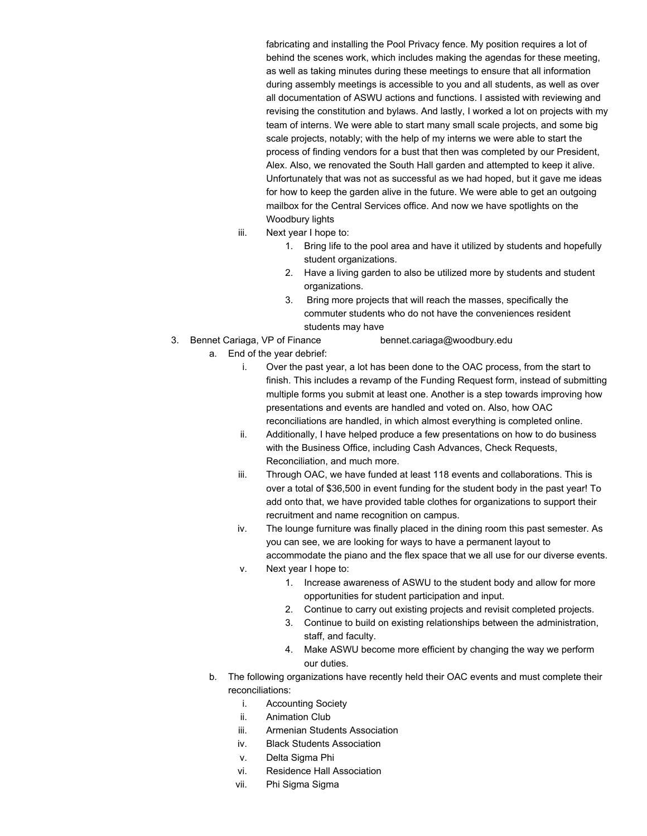fabricating and installing the Pool Privacy fence. My position requires a lot of behind the scenes work, which includes making the agendas for these meeting, as well as taking minutes during these meetings to ensure that all information during assembly meetings is accessible to you and all students, as well as over all documentation of ASWU actions and functions. I assisted with reviewing and revising the constitution and bylaws. And lastly, I worked a lot on projects with my team of interns. We were able to start many small scale projects, and some big scale projects, notably; with the help of my interns we were able to start the process of finding vendors for a bust that then was completed by our President, Alex. Also, we renovated the South Hall garden and attempted to keep it alive. Unfortunately that was not as successful as we had hoped, but it gave me ideas for how to keep the garden alive in the future. We were able to get an outgoing mailbox for the Central Services office. And now we have spotlights on the Woodbury lights

- iii. Next year I hope to:
	- 1. Bring life to the pool area and have it utilized by students and hopefully student organizations.
	- 2. Have a living garden to also be utilized more by students and student organizations.
	- 3. Bring more projects that will reach the masses, specifically the commuter students who do not have the conveniences resident students may have
- 3. Bennet Cariaga, VP of Finance [bennet.cariaga@woodbury.edu](mailto:bennet.cariaga@woodbury.edu)
	- a. End of the year debrief:
		- i. Over the past year, a lot has been done to the OAC process, from the start to finish. This includes a revamp of the Funding Request form, instead of submitting multiple forms you submit at least one. Another is a step towards improving how presentations and events are handled and voted on. Also, how OAC reconciliations are handled, in which almost everything is completed online.
		- ii. Additionally, I have helped produce a few presentations on how to do business with the Business Office, including Cash Advances, Check Requests, Reconciliation, and much more.
		- iii. Through OAC, we have funded at least 118 events and collaborations. This is over a total of \$36,500 in event funding for the student body in the past year! To add onto that, we have provided table clothes for organizations to support their recruitment and name recognition on campus.
		- iv. The lounge furniture was finally placed in the dining room this past semester. As you can see, we are looking for ways to have a permanent layout to accommodate the piano and the flex space that we all use for our diverse events.
		- v. Next year I hope to:
			- 1. Increase awareness of ASWU to the student body and allow for more opportunities for student participation and input.
			- 2. Continue to carry out existing projects and revisit completed projects.
			- 3. Continue to build on existing relationships between the administration, staff, and faculty.
			- 4. Make ASWU become more efficient by changing the way we perform our duties.
	- b. The following organizations have recently held their OAC events and must complete their reconciliations:
		- i. Accounting Society
		- ii. Animation Club
		- iii. Armenian Students Association
		- iv. Black Students Association
		- v. Delta Sigma Phi
		- vi. Residence Hall Association
		- vii. Phi Sigma Sigma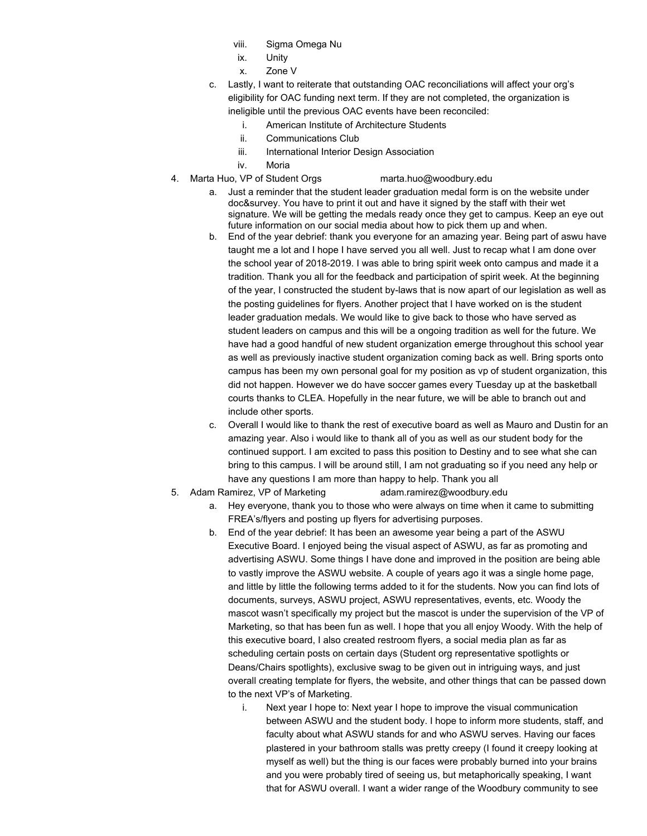- viii. Sigma Omega Nu
- ix. Unity
- x. Zone V
- c. Lastly, I want to reiterate that outstanding OAC reconciliations will affect your org's eligibility for OAC funding next term. If they are not completed, the organization is ineligible until the previous OAC events have been reconciled:
	- i. American Institute of Architecture Students
	- ii. Communications Club
	- iii. International Interior Design Association
	- iv. Moria
- 4. Marta Huo, VP of Student Orgs [marta.huo@woodbury.edu](mailto:marta.huo@woodbury.edu)
	- a. Just a reminder that the student leader graduation medal form is on the website under doc&survey. You have to print it out and have it signed by the staff with their wet signature. We will be getting the medals ready once they get to campus. Keep an eye out future information on our social media about how to pick them up and when.
	- b. End of the year debrief: thank you everyone for an amazing year. Being part of aswu have taught me a lot and I hope I have served you all well. Just to recap what I am done over the school year of 2018-2019. I was able to bring spirit week onto campus and made it a tradition. Thank you all for the feedback and participation of spirit week. At the beginning of the year, I constructed the student by-laws that is now apart of our legislation as well as the posting guidelines for flyers. Another project that I have worked on is the student leader graduation medals. We would like to give back to those who have served as student leaders on campus and this will be a ongoing tradition as well for the future. We have had a good handful of new student organization emerge throughout this school year as well as previously inactive student organization coming back as well. Bring sports onto campus has been my own personal goal for my position as vp of student organization, this did not happen. However we do have soccer games every Tuesday up at the basketball courts thanks to CLEA. Hopefully in the near future, we will be able to branch out and include other sports.
	- c. Overall I would like to thank the rest of executive board as well as Mauro and Dustin for an amazing year. Also i would like to thank all of you as well as our student body for the continued support. I am excited to pass this position to Destiny and to see what she can bring to this campus. I will be around still, I am not graduating so if you need any help or have any questions I am more than happy to help. Thank you all
- 5. Adam Ramirez, VP of Marketing [adam.ramirez@woodbury.edu](mailto:adam.ramirez@woodbury.edu)
	- a. Hey everyone, thank you to those who were always on time when it came to submitting FREA's/flyers and posting up flyers for advertising purposes.
	- b. End of the year debrief: It has been an awesome year being a part of the ASWU Executive Board. I enjoyed being the visual aspect of ASWU, as far as promoting and advertising ASWU. Some things I have done and improved in the position are being able to vastly improve the ASWU website. A couple of years ago it was a single home page, and little by little the following terms added to it for the students. Now you can find lots of documents, surveys, ASWU project, ASWU representatives, events, etc. Woody the mascot wasn't specifically my project but the mascot is under the supervision of the VP of Marketing, so that has been fun as well. I hope that you all enjoy Woody. With the help of this executive board, I also created restroom flyers, a social media plan as far as scheduling certain posts on certain days (Student org representative spotlights or Deans/Chairs spotlights), exclusive swag to be given out in intriguing ways, and just overall creating template for flyers, the website, and other things that can be passed down to the next VP's of Marketing.
		- i. Next year I hope to: Next year I hope to improve the visual communication between ASWU and the student body. I hope to inform more students, staff, and faculty about what ASWU stands for and who ASWU serves. Having our faces plastered in your bathroom stalls was pretty creepy (I found it creepy looking at myself as well) but the thing is our faces were probably burned into your brains and you were probably tired of seeing us, but metaphorically speaking, I want that for ASWU overall. I want a wider range of the Woodbury community to see